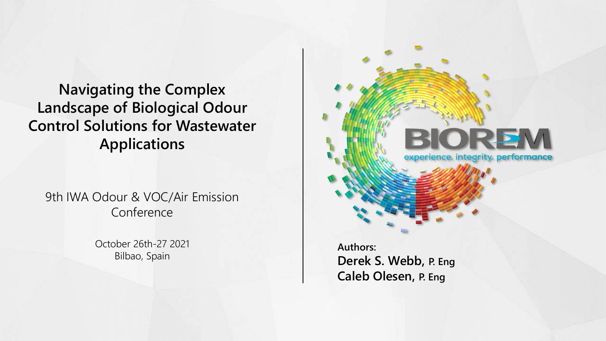# **Navigating the Complex Landscape of Biological Odour Control Solutions for Wastewater Applications**

9th IWA Odour & VOC/Air Emission Conference

> October 26th-27 2021 Bilbao, Spain



**Authors: Derek S. Webb, P. Eng Caleb Olesen, P. Eng**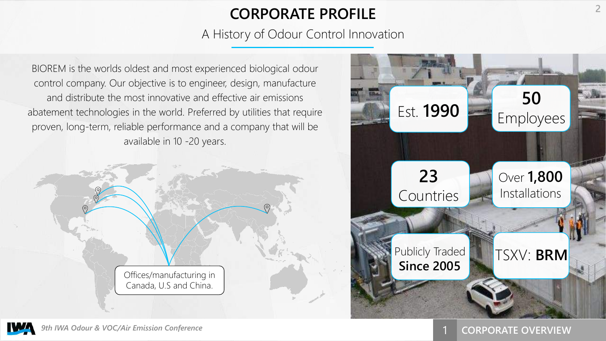# **CORPORATE PROFILE <sup>2</sup>**

A History of Odour Control Innovation

BIOREM is the worlds oldest and most experienced biological odour control company. Our objective is to engineer, design, manufacture and distribute the most innovative and effective air emissions abatement technologies in the world. Preferred by utilities that require proven, long-term, reliable performance and a company that will be available in 10 -20 years.



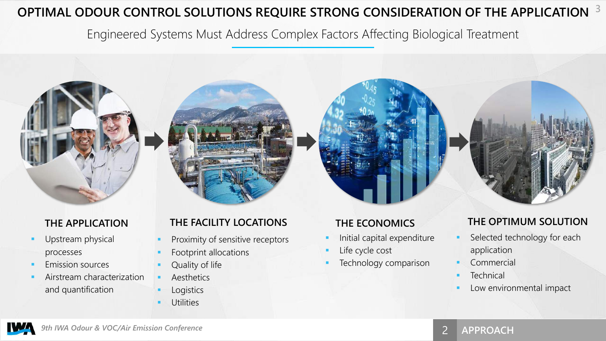## **OPTIMAL ODOUR CONTROL SOLUTIONS REQUIRE STRONG CONSIDERATION OF THE APPLICATION 3**

Engineered Systems Must Address Complex Factors Affecting Biological Treatment

- Upstream physical processes
- Emission sources
- Airstream characterization and quantification

### **THE APPLICATION THE FACILITY LOCATIONS THE ECONOMICS THE OPTIMUM SOLUTION**

- Proximity of sensitive receptors
- Footprint allocations
- Quality of life
- **Aesthetics**
- **Logistics**
- **Utilities**

- Initial capital expenditure
- Life cycle cost
- Technology comparison

- Selected technology for each application
- **Commercial**
- **■** Technical
- Low environmental impact

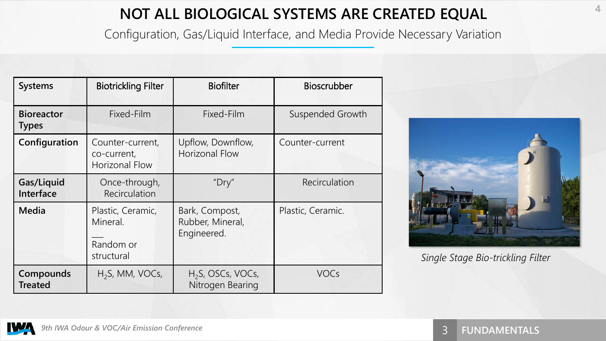# **NOT ALL BIOLOGICAL SYSTEMS ARE CREATED EQUAL**

Configuration, Gas/Liquid Interface, and Media Provide Necessary Variation

| <b>Systems</b>                    | <b>Biotrickling Filter</b>                               | <b>Biofilter</b><br><b>Bioscrubber</b>            |                   |  |
|-----------------------------------|----------------------------------------------------------|---------------------------------------------------|-------------------|--|
| <b>Bioreactor</b><br><b>Types</b> | Fixed-Film                                               | Fixed-Film                                        | Suspended Growth  |  |
| Configuration                     | Counter-current,<br>co-current,<br>Horizonal Flow        | Upflow, Downflow,<br><b>Horizonal Flow</b>        | Counter-current   |  |
| Gas/Liquid<br>Interface           | Once-through,<br>Recirculation                           | "Dry"                                             | Recirculation     |  |
| <b>Media</b>                      | Plastic, Ceramic,<br>Mineral.<br>Random or<br>structural | Bark, Compost,<br>Rubber, Mineral,<br>Engineered. | Plastic, Ceramic. |  |
| Compounds<br><b>Treated</b>       | $H2S$ , MM, VOCs,                                        | H <sub>2</sub> S, OSCs, VOCs,<br>Nitrogen Bearing | <b>VOCs</b>       |  |



*Single Stage Bio-trickling Filter*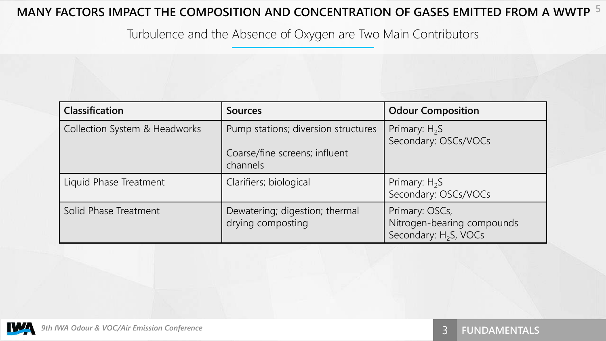### **MANY FACTORS IMPACT THE COMPOSITION AND CONCENTRATION OF GASES EMITTED FROM A WWTP 5**

Turbulence and the Absence of Oxygen are Two Main Contributors

| <b>Classification</b>         | <b>Sources</b>                                                                   | <b>Odour Composition</b>                                                          |
|-------------------------------|----------------------------------------------------------------------------------|-----------------------------------------------------------------------------------|
| Collection System & Headworks | Pump stations; diversion structures<br>Coarse/fine screens; influent<br>channels | Primary: $H_2S$<br>Secondary: OSCs/VOCs                                           |
| Liquid Phase Treatment        | Clarifiers; biological                                                           | Primary: $H_2S$<br>Secondary: OSCs/VOCs                                           |
| Solid Phase Treatment         | Dewatering; digestion; thermal<br>drying composting                              | Primary: OSCs,<br>Nitrogen-bearing compounds<br>Secondary: H <sub>2</sub> S, VOCs |

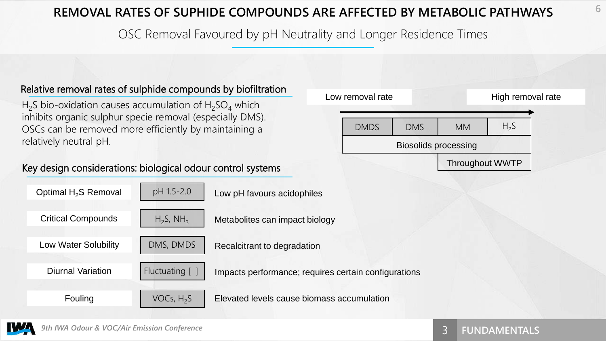### **REMOVAL RATES OF SUPHIDE COMPOUNDS ARE AFFECTED BY METABOLIC PATHWAYS**

OSC Removal Favoured by pH Neutrality and Longer Residence Times

#### Relative removal rates of sulphide compounds by biofiltration

H<sub>2</sub>S bio-oxidation causes accumulation of H<sub>2</sub>SO<sub>4</sub> which inhibits organic sulphur specie removal (especially DMS). OSCs can be removed more efficiently by maintaining a relatively neutral pH.

#### Key design considerations: biological odour control systems





**6**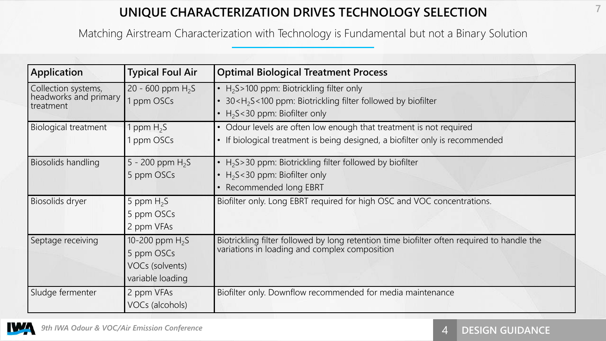### **UNIQUE CHARACTERIZATION DRIVES TECHNOLOGY SELECTION**

Matching Airstream Characterization with Technology is Fundamental but not a Binary Solution

| <b>Application</b>                                        | <b>Typical Foul Air</b>                                                | <b>Optimal Biological Treatment Process</b>                                                                                                                                  |  |  |
|-----------------------------------------------------------|------------------------------------------------------------------------|------------------------------------------------------------------------------------------------------------------------------------------------------------------------------|--|--|
| Collection systems,<br>headworks and primary<br>treatment | 20 - 600 ppm $H_2S$<br>1 ppm OSCs                                      | • $H_2S>100$ ppm: Biotrickling filter only<br>30 <h<sub>2S&lt;100 ppm: Biotrickling filter followed by biofilter<br/>• <math>H_2S &lt; 30</math> ppm: Biofilter only</h<sub> |  |  |
| <b>Biological treatment</b>                               | ppm $H_2S$<br>ppm OSCs                                                 | • Odour levels are often low enough that treatment is not required<br>• If biological treatment is being designed, a biofilter only is recommended                           |  |  |
| Biosolids handling                                        | 5 - 200 ppm $H_2S$<br>5 ppm OSCs                                       | • $H2S>30$ ppm: Biotrickling filter followed by biofilter<br>• $H_2S < 30$ ppm: Biofilter only<br>• Recommended long EBRT                                                    |  |  |
| Biosolids dryer                                           | 5 ppm $H_2S$<br>5 ppm OSCs<br>2 ppm VFAs                               | Biofilter only. Long EBRT required for high OSC and VOC concentrations.                                                                                                      |  |  |
| Septage receiving                                         | 10-200 ppm $H_2S$<br>5 ppm OSCs<br>VOCs (solvents)<br>variable loading | Biotrickling filter followed by long retention time biofilter often required to handle the variations in loading and complex composition                                     |  |  |
| Sludge fermenter                                          | 2 ppm VFAs<br>VOCs (alcohols)                                          | Biofilter only. Downflow recommended for media maintenance                                                                                                                   |  |  |

**WA** 

**7**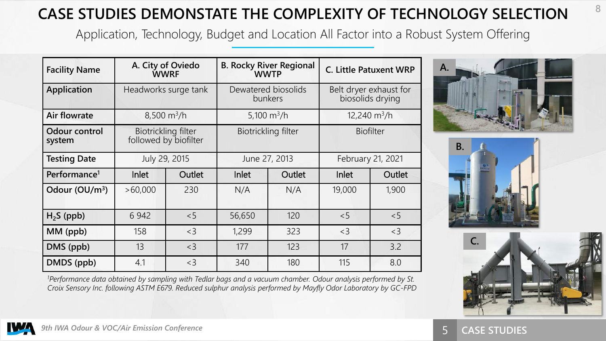# **CASE STUDIES DEMONSTATE THE COMPLEXITY OF TECHNOLOGY SELECTION**

Application, Technology, Budget and Location All Factor into a Robust System Offering

| <b>Facility Name</b>     | A. City of Oviedo<br><b>WWRF</b> |                                              | <b>B. Rocky River Regional</b><br><b>WWTP</b> |        | <b>C. Little Patuxent WRP</b>              |        |
|--------------------------|----------------------------------|----------------------------------------------|-----------------------------------------------|--------|--------------------------------------------|--------|
| <b>Application</b>       | Headworks surge tank             |                                              | Dewatered biosolids<br>bunkers                |        | Belt dryer exhaust for<br>biosolids drying |        |
| <b>Air flowrate</b>      | $8,500 \text{ m}^3/h$            |                                              | 5,100 $\rm m^3/h$                             |        | $12,240 \text{ m}^3/h$                     |        |
| Odour control<br>system  |                                  | Biotrickling filter<br>followed by biofilter | Biotrickling filter                           |        | <b>Biofilter</b>                           |        |
| <b>Testing Date</b>      | July 29, 2015                    |                                              | June 27, 2013                                 |        | February 21, 2021                          |        |
| Performance <sup>1</sup> | Inlet                            | Outlet                                       | <b>Inlet</b>                                  | Outlet | <b>Inlet</b>                               | Outlet |
| Odour $(OU/m^3)$         | >60,000                          | 230                                          | N/A                                           | N/A    | 19,000                                     | 1,900  |
| $H2S$ (ppb)              | 6 9 4 2                          | < 5                                          | 56,650                                        | 120    | < 5                                        | < 5    |
| MM (ppb)                 | 158                              | $<$ 3                                        | 1,299                                         | 323    | $<$ 3                                      | $<$ 3  |
| DMS (ppb)                | 13                               | $<$ 3                                        | 177                                           | 123    | 17                                         | 3.2    |
| DMDS (ppb)               | 4.1                              | $<$ 3                                        | 340                                           | 180    | 115                                        | 8.0    |







*<sup>1</sup>Performance data obtained by sampling with Tedlar bags and a vacuum chamber. Odour analysis performed by St. Croix Sensory Inc. following ASTM E679. Reduced sulphur analysis performed by Mayfly Odor Laboratory by GC-FPD*